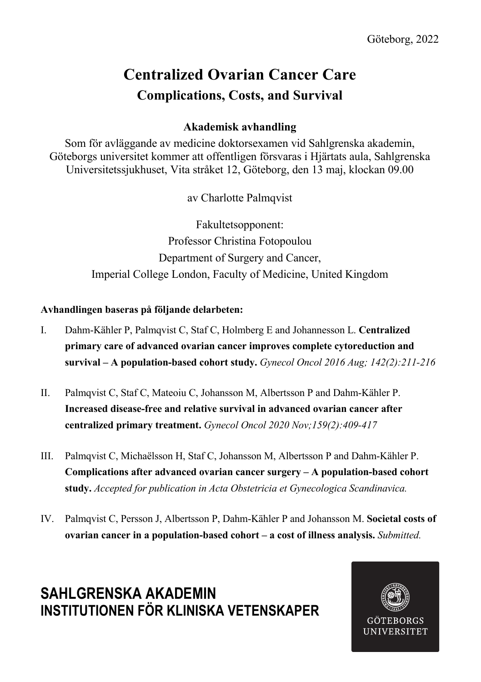## **Centralized Ovarian Cancer Care Complications, Costs, and Survival**

### **Akademisk avhandling**

Som för avläggande av medicine doktorsexamen vid Sahlgrenska akademin, Göteborgs universitet kommer att offentligen försvaras i Hjärtats aula, Sahlgrenska Universitetssjukhuset, Vita stråket 12, Göteborg, den 13 maj, klockan 09.00

av Charlotte Palmqvist

Fakultetsopponent: Professor Christina Fotopoulou Department of Surgery and Cancer, Imperial College London, Faculty of Medicine, United Kingdom

#### **Avhandlingen baseras på följande delarbeten:**

- I. Dahm-Kähler P, Palmqvist C, Staf C, Holmberg E and Johannesson L. **Centralized primary care of advanced ovarian cancer improves complete cytoreduction and survival – A population-based cohort study.** *Gynecol Oncol 2016 Aug; 142(2):211-216*
- II. Palmqvist C, Staf C, Mateoiu C, Johansson M, Albertsson P and Dahm-Kähler P. **Increased disease-free and relative survival in advanced ovarian cancer after centralized primary treatment.** *Gynecol Oncol 2020 Nov;159(2):409-417*
- III. Palmqvist C, Michaëlsson H, Staf C, Johansson M, Albertsson P and Dahm-Kähler P. **Complications after advanced ovarian cancer surgery – A population-based cohort study.** *Accepted for publication in Acta Obstetricia et Gynecologica Scandinavica.*
- IV. Palmqvist C, Persson J, Albertsson P, Dahm-Kähler P and Johansson M. **Societal costs of ovarian cancer in a population-based cohort – a cost of illness analysis.** *Submitted.*

### **SAHLGRENSKA AKADEMIN INSTITUTIONEN FÖR KLINISKA VETENSKAPER**